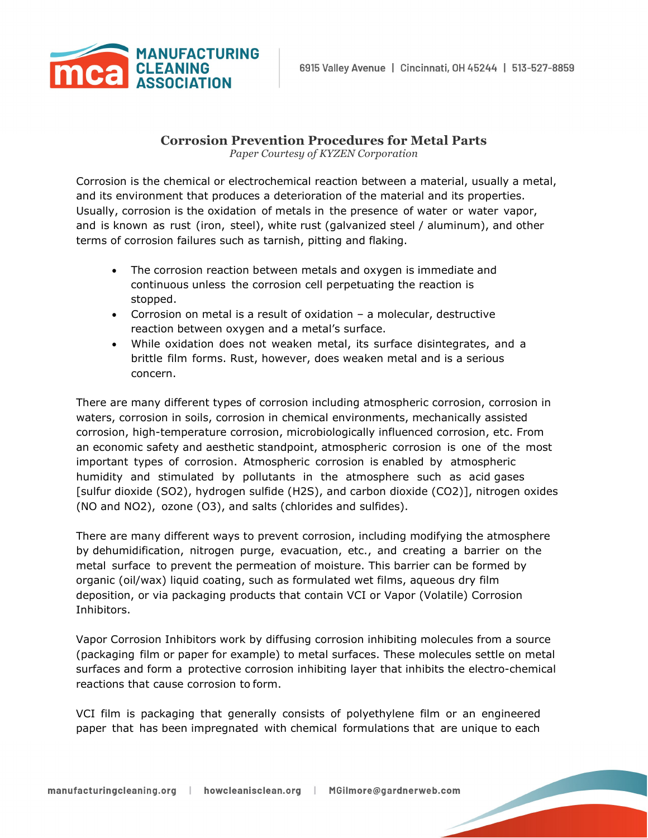

## **Corrosion Prevention Procedures for Metal Parts**

*Paper Courtesy of KYZEN Corporation*

Corrosion is the chemical or electrochemical reaction between a material, usually a metal, and its environment that produces a deterioration of the material and its properties. Usually, corrosion is the oxidation of metals in the presence of water or water vapor, and is known as rust (iron, steel), white rust (galvanized steel / aluminum), and other terms of corrosion failures such as tarnish, pitting and flaking.

- The corrosion reaction between metals and oxygen is immediate and continuous unless the corrosion cell perpetuating the reaction is stopped.
- Corrosion on metal is a result of oxidation a molecular, destructive reaction between oxygen and a metal's surface.
- While oxidation does not weaken metal, its surface disintegrates, and a brittle film forms. Rust, however, does weaken metal and is a serious concern.

There are many different types of corrosion including atmospheric corrosion, corrosion in waters, corrosion in soils, corrosion in chemical environments, mechanically assisted corrosion, high-temperature corrosion, microbiologically influenced corrosion, etc. From an economic safety and aesthetic standpoint, atmospheric corrosion is one of the most important types of corrosion. Atmospheric corrosion is enabled by atmospheric humidity and stimulated by pollutants in the atmosphere such as acid gases [sulfur dioxide (SO2), hydrogen sulfide (H2S), and carbon dioxide (CO2)], nitrogen oxides (NO and NO2), ozone (O3), and salts (chlorides and sulfides).

There are many different ways to prevent corrosion, including modifying the atmosphere by dehumidification, nitrogen purge, evacuation, etc., and creating a barrier on the metal surface to prevent the permeation of moisture. This barrier can be formed by organic (oil/wax) liquid coating, such as formulated wet films, aqueous dry film deposition, or via packaging products that contain VCI or Vapor (Volatile) Corrosion Inhibitors.

Vapor Corrosion Inhibitors work by diffusing corrosion inhibiting molecules from a source (packaging film or paper for example) to metal surfaces. These molecules settle on metal surfaces and form a protective corrosion inhibiting layer that inhibits the electro-chemical reactions that cause corrosion to form.

VCI film is packaging that generally consists of polyethylene film or an engineered paper that has been impregnated with chemical formulations that are unique to each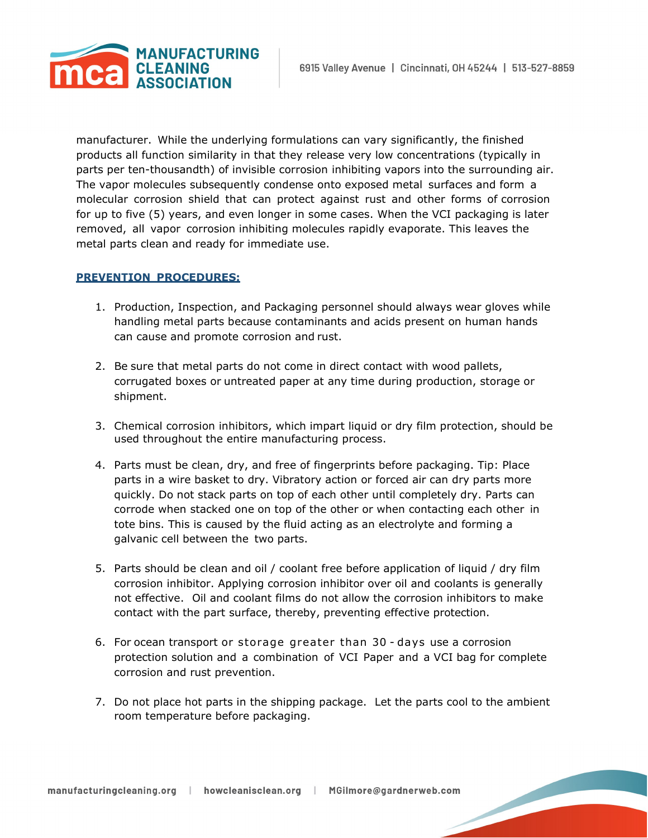

manufacturer. While the underlying formulations can vary significantly, the finished products all function similarity in that they release very low concentrations (typically in parts per ten-thousandth) of invisible corrosion inhibiting vapors into the surrounding air. The vapor molecules subsequently condense onto exposed metal surfaces and form a molecular corrosion shield that can protect against rust and other forms of corrosion for up to five (5) years, and even longer in some cases. When the VCI packaging is later removed, all vapor corrosion inhibiting molecules rapidly evaporate. This leaves the metal parts clean and ready for immediate use.

## **PREVENTION PROCEDURES:**

- 1. Production, Inspection, and Packaging personnel should always wear gloves while handling metal parts because contaminants and acids present on human hands can cause and promote corrosion and rust.
- 2. Be sure that metal parts do not come in direct contact with wood pallets, corrugated boxes or untreated paper at any time during production, storage or shipment.
- 3. Chemical corrosion inhibitors, which impart liquid or dry film protection, should be used throughout the entire manufacturing process.
- 4. Parts must be clean, dry, and free of fingerprints before packaging. Tip: Place parts in a wire basket to dry. Vibratory action or forced air can dry parts more quickly. Do not stack parts on top of each other until completely dry. Parts can corrode when stacked one on top of the other or when contacting each other in tote bins. This is caused by the fluid acting as an electrolyte and forming a galvanic cell between the two parts.
- 5. Parts should be clean and oil / coolant free before application of liquid / dry film corrosion inhibitor. Applying corrosion inhibitor over oil and coolants is generally not effective. Oil and coolant films do not allow the corrosion inhibitors to make contact with the part surface, thereby, preventing effective protection.
- 6. For ocean transport or storage greater than 30 days use a corrosion protection solution and a combination of VCI Paper and a VCI bag for complete corrosion and rust prevention.
- 7. Do not place hot parts in the shipping package. Let the parts cool to the ambient room temperature before packaging.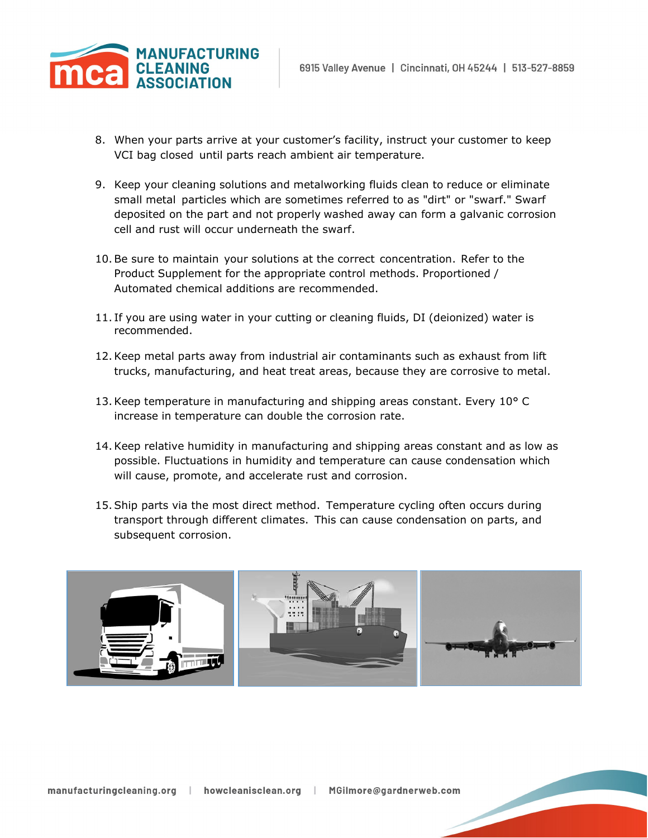

- 8. When your parts arrive at your customer's facility, instruct your customer to keep VCI bag closed until parts reach ambient air temperature.
- 9. Keep your cleaning solutions and metalworking fluids clean to reduce or eliminate small metal particles which are sometimes referred to as "dirt" or "swarf." Swarf deposited on the part and not properly washed away can form a galvanic corrosion cell and rust will occur underneath the swarf.
- 10.Be sure to maintain your solutions at the correct concentration. Refer to the Product Supplement for the appropriate control methods. Proportioned / Automated chemical additions are recommended.
- 11. If you are using water in your cutting or cleaning fluids, DI (deionized) water is recommended.
- 12.Keep metal parts away from industrial air contaminants such as exhaust from lift trucks, manufacturing, and heat treat areas, because they are corrosive to metal.
- 13.Keep temperature in manufacturing and shipping areas constant. Every 10° C increase in temperature can double the corrosion rate.
- 14.Keep relative humidity in manufacturing and shipping areas constant and as low as possible. Fluctuations in humidity and temperature can cause condensation which will cause, promote, and accelerate rust and corrosion.
- 15.Ship parts via the most direct method. Temperature cycling often occurs during transport through different climates. This can cause condensation on parts, and subsequent corrosion.